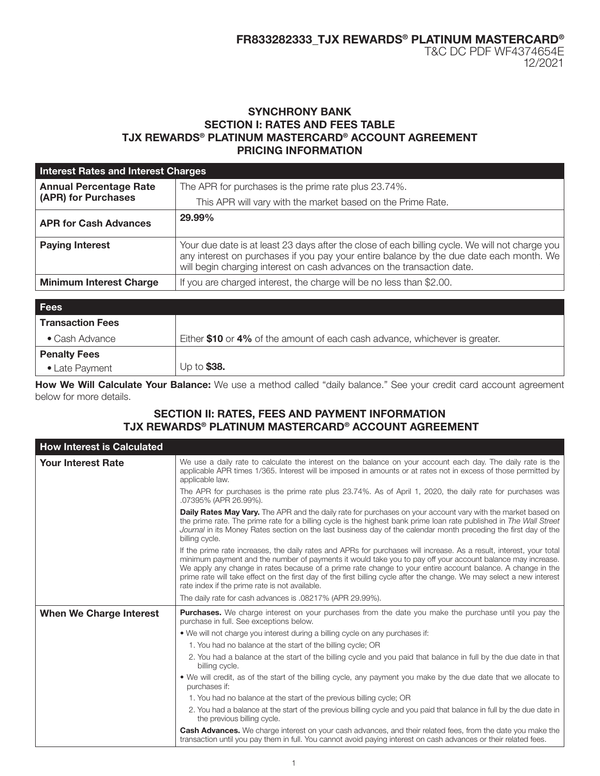12/2021

# SYNCHRONY BANK SECTION I: RATES AND FEES TABLE TJX REWARDS® PLATINUM MASTERCARD® ACCOUNT AGREEMENT PRICING INFORMATION

| <b>Interest Rates and Interest Charges</b>           |                                                                                                                                                                                                                                                                      |  |
|------------------------------------------------------|----------------------------------------------------------------------------------------------------------------------------------------------------------------------------------------------------------------------------------------------------------------------|--|
| <b>Annual Percentage Rate</b><br>(APR) for Purchases | The APR for purchases is the prime rate plus 23.74%.                                                                                                                                                                                                                 |  |
|                                                      | This APR will vary with the market based on the Prime Rate.                                                                                                                                                                                                          |  |
| <b>APR for Cash Advances</b>                         | 29.99%                                                                                                                                                                                                                                                               |  |
| <b>Paying Interest</b>                               | Your due date is at least 23 days after the close of each billing cycle. We will not charge you<br>any interest on purchases if you pay your entire balance by the due date each month. We<br>will begin charging interest on cash advances on the transaction date. |  |
| <b>Minimum Interest Charge</b>                       | If you are charged interest, the charge will be no less than \$2.00.                                                                                                                                                                                                 |  |
|                                                      |                                                                                                                                                                                                                                                                      |  |

| <b>Fees</b>             |                                                                             |
|-------------------------|-----------------------------------------------------------------------------|
| <b>Transaction Fees</b> |                                                                             |
| $\bullet$ Cash Advance  | Either \$10 or 4% of the amount of each cash advance, whichever is greater. |
| <b>Penalty Fees</b>     |                                                                             |
| • Late Payment          | Up to \$38.                                                                 |

How We Will Calculate Your Balance: We use a method called "daily balance." See your credit card account agreement below for more details.

# SECTION II: RATES, FEES AND PAYMENT INFORMATION TJX REWARDS® PLATINUM MASTERCARD® ACCOUNT AGREEMENT

| <b>How Interest is Calculated</b> |                                                                                                                                                                                                                                                                                                                                                                                                                                                                                                                               |
|-----------------------------------|-------------------------------------------------------------------------------------------------------------------------------------------------------------------------------------------------------------------------------------------------------------------------------------------------------------------------------------------------------------------------------------------------------------------------------------------------------------------------------------------------------------------------------|
| <b>Your Interest Rate</b>         | We use a daily rate to calculate the interest on the balance on your account each day. The daily rate is the<br>applicable APR times 1/365. Interest will be imposed in amounts or at rates not in excess of those permitted by<br>applicable law.                                                                                                                                                                                                                                                                            |
|                                   | The APR for purchases is the prime rate plus 23.74%. As of April 1, 2020, the daily rate for purchases was<br>.07395% (APR 26.99%).                                                                                                                                                                                                                                                                                                                                                                                           |
|                                   | <b>Daily Rates May Vary.</b> The APR and the daily rate for purchases on your account vary with the market based on<br>the prime rate. The prime rate for a billing cycle is the highest bank prime loan rate published in The Wall Street<br>Journal in its Money Rates section on the last business day of the calendar month preceding the first day of the<br>billing cycle.                                                                                                                                              |
|                                   | If the prime rate increases, the daily rates and APRs for purchases will increase. As a result, interest, your total<br>minimum payment and the number of payments it would take you to pay off your account balance may increase.<br>We apply any change in rates because of a prime rate change to your entire account balance. A change in the<br>prime rate will take effect on the first day of the first billing cycle after the change. We may select a new interest<br>rate index if the prime rate is not available. |
|                                   | The daily rate for cash advances is .08217% (APR 29.99%).                                                                                                                                                                                                                                                                                                                                                                                                                                                                     |
| <b>When We Charge Interest</b>    | Purchases. We charge interest on your purchases from the date you make the purchase until you pay the<br>purchase in full. See exceptions below.                                                                                                                                                                                                                                                                                                                                                                              |
|                                   | • We will not charge you interest during a billing cycle on any purchases if:                                                                                                                                                                                                                                                                                                                                                                                                                                                 |
|                                   | 1. You had no balance at the start of the billing cycle; OR                                                                                                                                                                                                                                                                                                                                                                                                                                                                   |
|                                   | 2. You had a balance at the start of the billing cycle and you paid that balance in full by the due date in that<br>billing cycle.                                                                                                                                                                                                                                                                                                                                                                                            |
|                                   | • We will credit, as of the start of the billing cycle, any payment you make by the due date that we allocate to<br>purchases if:                                                                                                                                                                                                                                                                                                                                                                                             |
|                                   | 1. You had no balance at the start of the previous billing cycle; OR                                                                                                                                                                                                                                                                                                                                                                                                                                                          |
|                                   | 2. You had a balance at the start of the previous billing cycle and you paid that balance in full by the due date in<br>the previous billing cycle.                                                                                                                                                                                                                                                                                                                                                                           |
|                                   | Cash Advances. We charge interest on your cash advances, and their related fees, from the date you make the<br>transaction until you pay them in full. You cannot avoid paying interest on cash advances or their related fees.                                                                                                                                                                                                                                                                                               |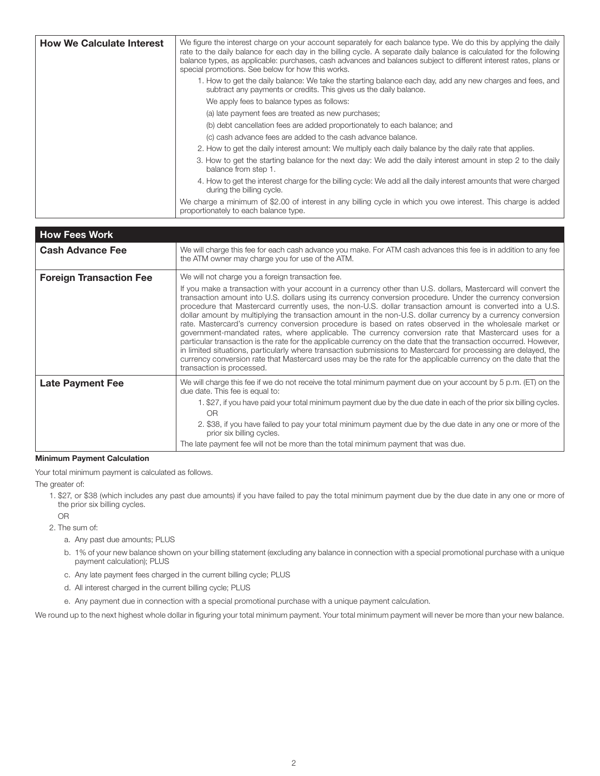| <b>How We Calculate Interest</b> | We figure the interest charge on your account separately for each balance type. We do this by applying the daily<br>rate to the daily balance for each day in the billing cycle. A separate daily balance is calculated for the following<br>balance types, as applicable: purchases, cash advances and balances subject to different interest rates, plans or<br>special promotions. See below for how this works. |
|----------------------------------|---------------------------------------------------------------------------------------------------------------------------------------------------------------------------------------------------------------------------------------------------------------------------------------------------------------------------------------------------------------------------------------------------------------------|
|                                  | 1. How to get the daily balance: We take the starting balance each day, add any new charges and fees, and<br>subtract any payments or credits. This gives us the daily balance.                                                                                                                                                                                                                                     |
|                                  | We apply fees to balance types as follows:                                                                                                                                                                                                                                                                                                                                                                          |
|                                  | (a) late payment fees are treated as new purchases;                                                                                                                                                                                                                                                                                                                                                                 |
|                                  | (b) debt cancellation fees are added proportionately to each balance; and                                                                                                                                                                                                                                                                                                                                           |
|                                  | (c) cash advance fees are added to the cash advance balance.                                                                                                                                                                                                                                                                                                                                                        |
|                                  | 2. How to get the daily interest amount: We multiply each daily balance by the daily rate that applies.                                                                                                                                                                                                                                                                                                             |
|                                  | 3. How to get the starting balance for the next day: We add the daily interest amount in step 2 to the daily<br>balance from step 1.                                                                                                                                                                                                                                                                                |
|                                  | 4. How to get the interest charge for the billing cycle: We add all the daily interest amounts that were charged<br>during the billing cycle.                                                                                                                                                                                                                                                                       |
|                                  | We charge a minimum of \$2.00 of interest in any billing cycle in which you owe interest. This charge is added<br>proportionately to each balance type.                                                                                                                                                                                                                                                             |

| <b>How Fees Work</b>           |                                                                                                                                                                                                                                                                                                                                                                                                                                                                                                                                                                                                                                                                                                                                                                                                                                                                                                                                                                                                                                                                      |
|--------------------------------|----------------------------------------------------------------------------------------------------------------------------------------------------------------------------------------------------------------------------------------------------------------------------------------------------------------------------------------------------------------------------------------------------------------------------------------------------------------------------------------------------------------------------------------------------------------------------------------------------------------------------------------------------------------------------------------------------------------------------------------------------------------------------------------------------------------------------------------------------------------------------------------------------------------------------------------------------------------------------------------------------------------------------------------------------------------------|
| <b>Cash Advance Fee</b>        | We will charge this fee for each cash advance you make. For ATM cash advances this fee is in addition to any fee<br>the ATM owner may charge you for use of the ATM.                                                                                                                                                                                                                                                                                                                                                                                                                                                                                                                                                                                                                                                                                                                                                                                                                                                                                                 |
| <b>Foreign Transaction Fee</b> | We will not charge you a foreign transaction fee.                                                                                                                                                                                                                                                                                                                                                                                                                                                                                                                                                                                                                                                                                                                                                                                                                                                                                                                                                                                                                    |
|                                | If you make a transaction with your account in a currency other than U.S. dollars, Mastercard will convert the<br>transaction amount into U.S. dollars using its currency conversion procedure. Under the currency conversion<br>procedure that Mastercard currently uses, the non-U.S. dollar transaction amount is converted into a U.S.<br>dollar amount by multiplying the transaction amount in the non-U.S. dollar currency by a currency conversion<br>rate. Mastercard's currency conversion procedure is based on rates observed in the wholesale market or<br>government-mandated rates, where applicable. The currency conversion rate that Mastercard uses for a<br>particular transaction is the rate for the applicable currency on the date that the transaction occurred. However,<br>in limited situations, particularly where transaction submissions to Mastercard for processing are delayed, the<br>currency conversion rate that Mastercard uses may be the rate for the applicable currency on the date that the<br>transaction is processed. |
| <b>Late Payment Fee</b>        | We will charge this fee if we do not receive the total minimum payment due on your account by 5 p.m. (ET) on the<br>due date. This fee is equal to:                                                                                                                                                                                                                                                                                                                                                                                                                                                                                                                                                                                                                                                                                                                                                                                                                                                                                                                  |
|                                | 1. \$27, if you have paid your total minimum payment due by the due date in each of the prior six billing cycles.<br>OR                                                                                                                                                                                                                                                                                                                                                                                                                                                                                                                                                                                                                                                                                                                                                                                                                                                                                                                                              |
|                                | 2. \$38, if you have failed to pay your total minimum payment due by the due date in any one or more of the<br>prior six billing cycles.                                                                                                                                                                                                                                                                                                                                                                                                                                                                                                                                                                                                                                                                                                                                                                                                                                                                                                                             |
|                                | The late payment fee will not be more than the total minimum payment that was due.                                                                                                                                                                                                                                                                                                                                                                                                                                                                                                                                                                                                                                                                                                                                                                                                                                                                                                                                                                                   |

#### Minimum Payment Calculation

Your total minimum payment is calculated as follows.

The greater of:

- 1. \$27, or \$38 (which includes any past due amounts) if you have failed to pay the total minimum payment due by the due date in any one or more of the prior six billing cycles. OR
- 2. The sum of:
	- a. Any past due amounts; PLUS
	- b. 1% of your new balance shown on your billing statement (excluding any balance in connection with a special promotional purchase with a unique payment calculation); PLUS
	- c. Any late payment fees charged in the current billing cycle; PLUS
	- d. All interest charged in the current billing cycle; PLUS
	- e. Any payment due in connection with a special promotional purchase with a unique payment calculation.

We round up to the next highest whole dollar in figuring your total minimum payment. Your total minimum payment will never be more than your new balance.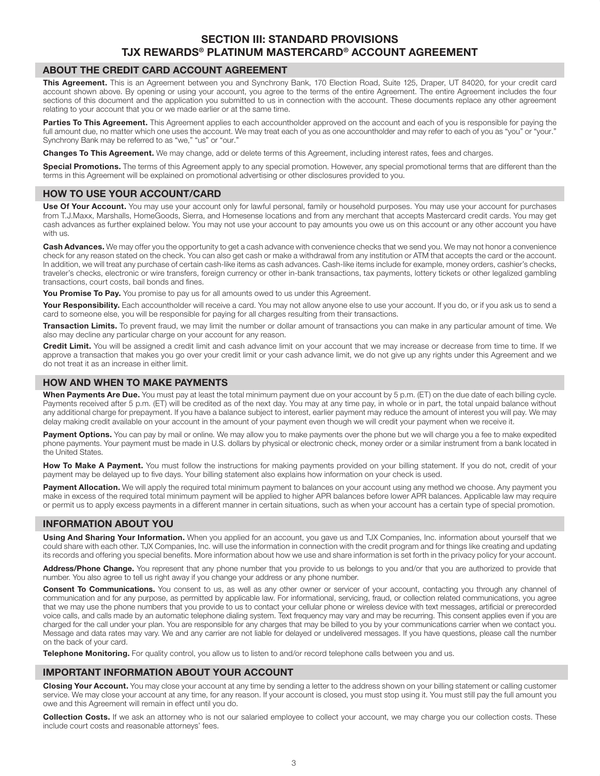# SECTION III: STANDARD PROVISIONS TJX REWARDS® PLATINUM MASTERCARD® ACCOUNT AGREEMENT

### ABOUT THE CREDIT CARD ACCOUNT AGREEMENT

This Agreement. This is an Agreement between you and Synchrony Bank, 170 Election Road, Suite 125, Draper, UT 84020, for your credit card account shown above. By opening or using your account, you agree to the terms of the entire Agreement. The entire Agreement includes the four sections of this document and the application you submitted to us in connection with the account. These documents replace any other agreement relating to your account that you or we made earlier or at the same time.

Parties To This Agreement. This Agreement applies to each accountholder approved on the account and each of you is responsible for paying the full amount due, no matter which one uses the account. We may treat each of you as one accountholder and may refer to each of you as "you" or "your." Synchrony Bank may be referred to as "we," "us" or "our."

Changes To This Agreement. We may change, add or delete terms of this Agreement, including interest rates, fees and charges.

Special Promotions. The terms of this Agreement apply to any special promotion. However, any special promotional terms that are different than the terms in this Agreement will be explained on promotional advertising or other disclosures provided to you.

### HOW TO USE YOUR ACCOUNT/CARD

Use Of Your Account. You may use your account only for lawful personal, family or household purposes. You may use your account for purchases from T.J.Maxx, Marshalls, HomeGoods, Sierra, and Homesense locations and from any merchant that accepts Mastercard credit cards. You may get cash advances as further explained below. You may not use your account to pay amounts you owe us on this account or any other account you have with us.

Cash Advances. We may offer you the opportunity to get a cash advance with convenience checks that we send you. We may not honor a convenience check for any reason stated on the check. You can also get cash or make a withdrawal from any institution or ATM that accepts the card or the account. In addition, we will treat any purchase of certain cash-like items as cash advances. Cash-like items include for example, money orders, cashier's checks, traveler's checks, electronic or wire transfers, foreign currency or other in-bank transactions, tax payments, lottery tickets or other legalized gambling transactions, court costs, bail bonds and fines.

You Promise To Pay. You promise to pay us for all amounts owed to us under this Agreement.

Your Responsibility. Each accountholder will receive a card. You may not allow anyone else to use your account. If you do, or if you ask us to send a card to someone else, you will be responsible for paying for all charges resulting from their transactions.

Transaction Limits. To prevent fraud, we may limit the number or dollar amount of transactions you can make in any particular amount of time. We also may decline any particular charge on your account for any reason.

Credit Limit. You will be assigned a credit limit and cash advance limit on your account that we may increase or decrease from time to time. If we approve a transaction that makes you go over your credit limit or your cash advance limit, we do not give up any rights under this Agreement and we do not treat it as an increase in either limit.

## HOW AND WHEN TO MAKE PAYMENTS

When Payments Are Due. You must pay at least the total minimum payment due on your account by 5 p.m. (ET) on the due date of each billing cycle. Payments received after 5 p.m. (ET) will be credited as of the next day. You may at any time pay, in whole or in part, the total unpaid balance without any additional charge for prepayment. If you have a balance subject to interest, earlier payment may reduce the amount of interest you will pay. We may delay making credit available on your account in the amount of your payment even though we will credit your payment when we receive it.

Payment Options. You can pay by mail or online. We may allow you to make payments over the phone but we will charge you a fee to make expedited phone payments. Your payment must be made in U.S. dollars by physical or electronic check, money order or a similar instrument from a bank located in the United States.

How To Make A Payment. You must follow the instructions for making payments provided on your billing statement. If you do not, credit of your payment may be delayed up to five days. Your billing statement also explains how information on your check is used.

Payment Allocation. We will apply the required total minimum payment to balances on your account using any method we choose. Any payment you make in excess of the required total minimum payment will be applied to higher APR balances before lower APR balances. Applicable law may require or permit us to apply excess payments in a different manner in certain situations, such as when your account has a certain type of special promotion.

### INFORMATION ABOUT YOU

Using And Sharing Your Information. When you applied for an account, you gave us and TJX Companies, Inc. information about yourself that we could share with each other. TJX Companies, Inc. will use the information in connection with the credit program and for things like creating and updating its records and offering you special benefits. More information about how we use and share information is set forth in the privacy policy for your account.

Address/Phone Change. You represent that any phone number that you provide to us belongs to you and/or that you are authorized to provide that number. You also agree to tell us right away if you change your address or any phone number.

Consent To Communications. You consent to us, as well as any other owner or servicer of your account, contacting you through any channel of communication and for any purpose, as permitted by applicable law. For informational, servicing, fraud, or collection related communications, you agree that we may use the phone numbers that you provide to us to contact your cellular phone or wireless device with text messages, artificial or prerecorded voice calls, and calls made by an automatic telephone dialing system. Text frequency may vary and may be recurring. This consent applies even if you are charged for the call under your plan. You are responsible for any charges that may be billed to you by your communications carrier when we contact you. Message and data rates may vary. We and any carrier are not liable for delayed or undelivered messages. If you have questions, please call the number on the back of your card.

Telephone Monitoring. For quality control, you allow us to listen to and/or record telephone calls between you and us.

## IMPORTANT INFORMATION ABOUT YOUR ACCOUNT

Closing Your Account. You may close your account at any time by sending a letter to the address shown on your billing statement or calling customer service. We may close your account at any time, for any reason. If your account is closed, you must stop using it. You must still pay the full amount you owe and this Agreement will remain in effect until you do.

Collection Costs. If we ask an attorney who is not our salaried employee to collect your account, we may charge you our collection costs. These include court costs and reasonable attorneys' fees.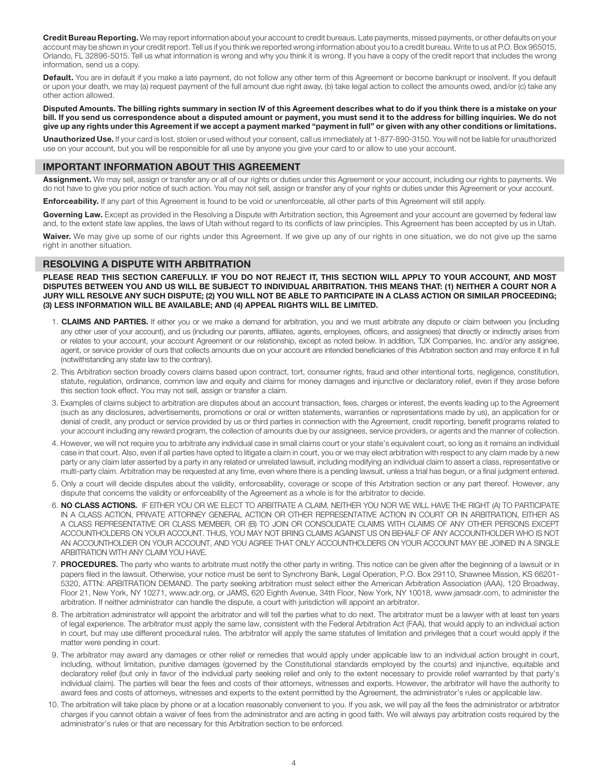Credit Bureau Reporting. We may report information about your account to credit bureaus. Late payments, missed payments, or other defaults on your account may be shown in your credit report. Tell us if you think we reported wrong information about you to a credit bureau. Write to us at P.O. Box 965015, Orlando, FL 32896-5015. Tell us what information is wrong and why you think it is wrong. If you have a copy of the credit report that includes the wrong information, send us a copy.

Default. You are in default if you make a late payment, do not follow any other term of this Agreement or become bankrupt or insolvent. If you default or upon your death, we may (a) request payment of the full amount due right away, (b) take legal action to collect the amounts owed, and/or (c) take any other action allowed.

Disputed Amounts. The billing rights summary in section IV of this Agreement describes what to do if you think there is a mistake on your bill. If you send us correspondence about a disputed amount or payment, you must send it to the address for billing inquiries. We do not give up any rights under this Agreement if we accept a payment marked "payment in full" or given with any other conditions or limitations.

Unauthorized Use. If your card is lost, stolen or used without your consent, call us immediately at 1-877-890-3150. You will not be liable for unauthorized use on your account, but you will be responsible for all use by anyone you give your card to or allow to use your account.

#### IMPORTANT INFORMATION ABOUT THIS AGREEMENT

Assignment. We may sell, assign or transfer any or all of our rights or duties under this Agreement or your account, including our rights to payments. We do not have to give you prior notice of such action. You may not sell, assign or transfer any of your rights or duties under this Agreement or your account.

**Enforceability.** If any part of this Agreement is found to be void or unenforceable, all other parts of this Agreement will still apply.

Governing Law. Except as provided in the Resolving a Dispute with Arbitration section, this Agreement and your account are governed by federal law and, to the extent state law applies, the laws of Utah without regard to its conflicts of law principles. This Agreement has been accepted by us in Utah.

Waiver. We may give up some of our rights under this Agreement. If we give up any of our rights in one situation, we do not give up the same right in another situation.

#### RESOLVING A DISPUTE WITH ARBITRATION

PLEASE READ THIS SECTION CAREFULLY. IF YOU DO NOT REJECT IT, THIS SECTION WILL APPLY TO YOUR ACCOUNT, AND MOST DISPUTES BETWEEN YOU AND US WILL BE SUBJECT TO INDIVIDUAL ARBITRATION. THIS MEANS THAT: (1) NEITHER A COURT NOR A JURY WILL RESOLVE ANY SUCH DISPUTE; (2) YOU WILL NOT BE ABLE TO PARTICIPATE IN A CLASS ACTION OR SIMILAR PROCEEDING; (3) LESS INFORMATION WILL BE AVAILABLE; AND (4) APPEAL RIGHTS WILL BE LIMITED.

- 1. CLAIMS AND PARTIES. If either you or we make a demand for arbitration, you and we must arbitrate any dispute or claim between you (including any other user of your account), and us (including our parents, affiliates, agents, employees, officers, and assignees) that directly or indirectly arises from or relates to your account, your account Agreement or our relationship, except as noted below. In addition, TJX Companies, Inc. and/or any assignee, agent, or service provider of ours that collects amounts due on your account are intended beneficiaries of this Arbitration section and may enforce it in full (notwithstanding any state law to the contrary).
- 2. This Arbitration section broadly covers claims based upon contract, tort, consumer rights, fraud and other intentional torts, negligence, constitution, statute, regulation, ordinance, common law and equity and claims for money damages and injunctive or declaratory relief, even if they arose before this section took effect. You may not sell, assign or transfer a claim.
- 3. Examples of claims subject to arbitration are disputes about an account transaction, fees, charges or interest, the events leading up to the Agreement (such as any disclosures, advertisements, promotions or oral or written statements, warranties or representations made by us), an application for or denial of credit, any product or service provided by us or third parties in connection with the Agreement, credit reporting, benefit programs related to your account including any reward program, the collection of amounts due by our assignees, service providers, or agents and the manner of collection.
- 4. However, we will not require you to arbitrate any individual case in small claims court or your state's equivalent court, so long as it remains an individual case in that court. Also, even if all parties have opted to litigate a claim in court, you or we may elect arbitration with respect to any claim made by a new party or any claim later asserted by a party in any related or unrelated lawsuit, including modifying an individual claim to assert a class, representative or multi-party claim. Arbitration may be requested at any time, even where there is a pending lawsuit, unless a trial has begun, or a final judgment entered.
- 5. Only a court will decide disputes about the validity, enforceability, coverage or scope of this Arbitration section or any part thereof. However, any dispute that concerns the validity or enforceability of the Agreement as a whole is for the arbitrator to decide.
- 6. NO CLASS ACTIONS. IF EITHER YOU OR WE ELECT TO ARBITRATE A CLAIM, NEITHER YOU NOR WE WILL HAVE THE RIGHT (A) TO PARTICIPATE IN A CLASS ACTION, PRIVATE ATTORNEY GENERAL ACTION OR OTHER REPRESENTATIVE ACTION IN COURT OR IN ARBITRATION, EITHER AS A CLASS REPRESENTATIVE OR CLASS MEMBER, OR (B) TO JOIN OR CONSOLIDATE CLAIMS WITH CLAIMS OF ANY OTHER PERSONS EXCEPT ACCOUNTHOLDERS ON YOUR ACCOUNT. THUS, YOU MAY NOT BRING CLAIMS AGAINST US ON BEHALF OF ANY ACCOUNTHOLDER WHO IS NOT AN ACCOUNTHOLDER ON YOUR ACCOUNT, AND YOU AGREE THAT ONLY ACCOUNTHOLDERS ON YOUR ACCOUNT MAY BE JOINED IN A SINGLE ARBITRATION WITH ANY CLAIM YOU HAVE.
- 7. PROCEDURES. The party who wants to arbitrate must notify the other party in writing. This notice can be given after the beginning of a lawsuit or in papers filed in the lawsuit. Otherwise, your notice must be sent to Synchrony Bank, Legal Operation, P.O. Box 29110, Shawnee Mission, KS 66201- 5320, ATTN: ARBITRATION DEMAND. The party seeking arbitration must select either the American Arbitration Association (AAA), 120 Broadway, Floor 21, New York, NY 10271, www.adr.org, or JAMS, 620 Eighth Avenue, 34th Floor, New York, NY 10018, www.jamsadr.com, to administer the arbitration. If neither administrator can handle the dispute, a court with jurisdiction will appoint an arbitrator.
- 8. The arbitration administrator will appoint the arbitrator and will tell the parties what to do next. The arbitrator must be a lawyer with at least ten years of legal experience. The arbitrator must apply the same law, consistent with the Federal Arbitration Act (FAA), that would apply to an individual action in court, but may use different procedural rules. The arbitrator will apply the same statutes of limitation and privileges that a court would apply if the matter were pending in court.
- 9. The arbitrator may award any damages or other relief or remedies that would apply under applicable law to an individual action brought in court, including, without limitation, punitive damages (governed by the Constitutional standards employed by the courts) and injunctive, equitable and declaratory relief (but only in favor of the individual party seeking relief and only to the extent necessary to provide relief warranted by that party's individual claim). The parties will bear the fees and costs of their attorneys, witnesses and experts. However, the arbitrator will have the authority to award fees and costs of attorneys, witnesses and experts to the extent permitted by the Agreement, the administrator's rules or applicable law.
- 10. The arbitration will take place by phone or at a location reasonably convenient to you. If you ask, we will pay all the fees the administrator or arbitrator charges if you cannot obtain a waiver of fees from the administrator and are acting in good faith. We will always pay arbitration costs required by the administrator's rules or that are necessary for this Arbitration section to be enforced.